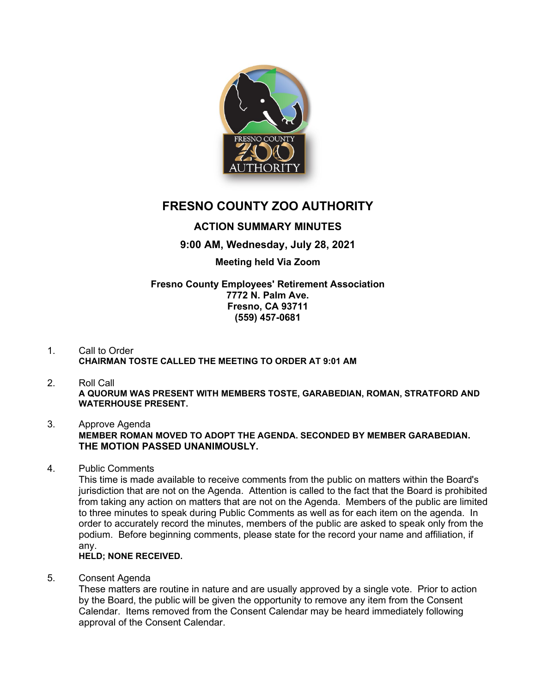

# **FRESNO COUNTY ZOO AUTHORITY**

# **ACTION SUMMARY MINUTES**

# **9:00 AM, Wednesday, July 28, 2021**

# **Meeting held Via Zoom**

## **Fresno County Employees' Retirement Association 7772 N. Palm Ave. Fresno, CA 93711 (559) 457-0681**

# 1. Call to Order **CHAIRMAN TOSTE CALLED THE MEETING TO ORDER AT 9:01 AM**

#### 2. Roll Call **A QUORUM WAS PRESENT WITH MEMBERS TOSTE, GARABEDIAN, ROMAN, STRATFORD AND WATERHOUSE PRESENT.**

#### 3. Approve Agenda **MEMBER ROMAN MOVED TO ADOPT THE AGENDA. SECONDED BY MEMBER GARABEDIAN. THE MOTION PASSED UNANIMOUSLY.**

4. Public Comments

This time is made available to receive comments from the public on matters within the Board's jurisdiction that are not on the Agenda. Attention is called to the fact that the Board is prohibited from taking any action on matters that are not on the Agenda. Members of the public are limited to three minutes to speak during Public Comments as well as for each item on the agenda. In order to accurately record the minutes, members of the public are asked to speak only from the podium. Before beginning comments, please state for the record your name and affiliation, if any.

## **HELD; NONE RECEIVED.**

5. Consent Agenda

These matters are routine in nature and are usually approved by a single vote. Prior to action by the Board, the public will be given the opportunity to remove any item from the Consent Calendar. Items removed from the Consent Calendar may be heard immediately following approval of the Consent Calendar.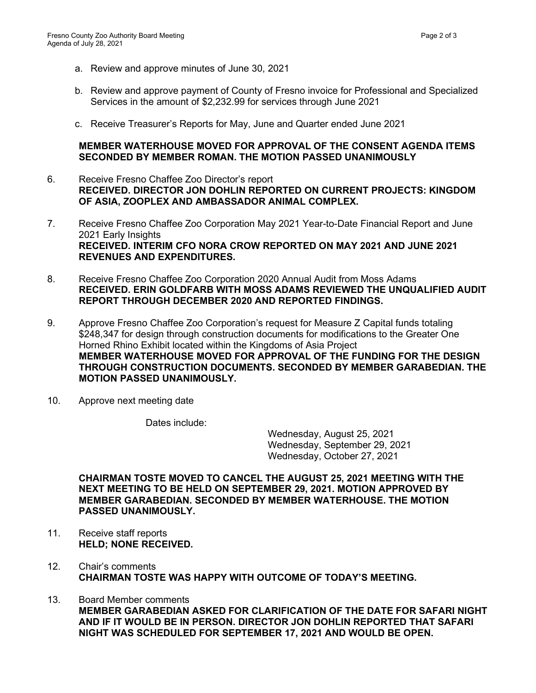- a. Review and approve minutes of June 30, 2021
- b. Review and approve payment of County of Fresno invoice for Professional and Specialized Services in the amount of \$2,232.99 for services through June 2021
- c. Receive Treasurer's Reports for May, June and Quarter ended June 2021

#### **MEMBER WATERHOUSE MOVED FOR APPROVAL OF THE CONSENT AGENDA ITEMS SECONDED BY MEMBER ROMAN. THE MOTION PASSED UNANIMOUSLY**

- 6. Receive Fresno Chaffee Zoo Director's report **RECEIVED. DIRECTOR JON DOHLIN REPORTED ON CURRENT PROJECTS: KINGDOM OF ASIA, ZOOPLEX AND AMBASSADOR ANIMAL COMPLEX.**
- 7. Receive Fresno Chaffee Zoo Corporation May 2021 Year-to-Date Financial Report and June 2021 Early Insights **RECEIVED. INTERIM CFO NORA CROW REPORTED ON MAY 2021 AND JUNE 2021 REVENUES AND EXPENDITURES.**
- 8. Receive Fresno Chaffee Zoo Corporation 2020 Annual Audit from Moss Adams **RECEIVED. ERIN GOLDFARB WITH MOSS ADAMS REVIEWED THE UNQUALIFIED AUDIT REPORT THROUGH DECEMBER 2020 AND REPORTED FINDINGS.**
- 9. Approve Fresno Chaffee Zoo Corporation's request for Measure Z Capital funds totaling \$248,347 for design through construction documents for modifications to the Greater One Horned Rhino Exhibit located within the Kingdoms of Asia Project **MEMBER WATERHOUSE MOVED FOR APPROVAL OF THE FUNDING FOR THE DESIGN THROUGH CONSTRUCTION DOCUMENTS. SECONDED BY MEMBER GARABEDIAN. THE MOTION PASSED UNANIMOUSLY.**
- 10. Approve next meeting date

Dates include:

Wednesday, August 25, 2021 Wednesday, September 29, 2021 Wednesday, October 27, 2021

**CHAIRMAN TOSTE MOVED TO CANCEL THE AUGUST 25, 2021 MEETING WITH THE NEXT MEETING TO BE HELD ON SEPTEMBER 29, 2021. MOTION APPROVED BY MEMBER GARABEDIAN. SECONDED BY MEMBER WATERHOUSE. THE MOTION PASSED UNANIMOUSLY.**

- 11. Receive staff reports **HELD; NONE RECEIVED.**
- 12. Chair's comments **CHAIRMAN TOSTE WAS HAPPY WITH OUTCOME OF TODAY'S MEETING.**
- 13. Board Member comments **MEMBER GARABEDIAN ASKED FOR CLARIFICATION OF THE DATE FOR SAFARI NIGHT AND IF IT WOULD BE IN PERSON. DIRECTOR JON DOHLIN REPORTED THAT SAFARI NIGHT WAS SCHEDULED FOR SEPTEMBER 17, 2021 AND WOULD BE OPEN.**